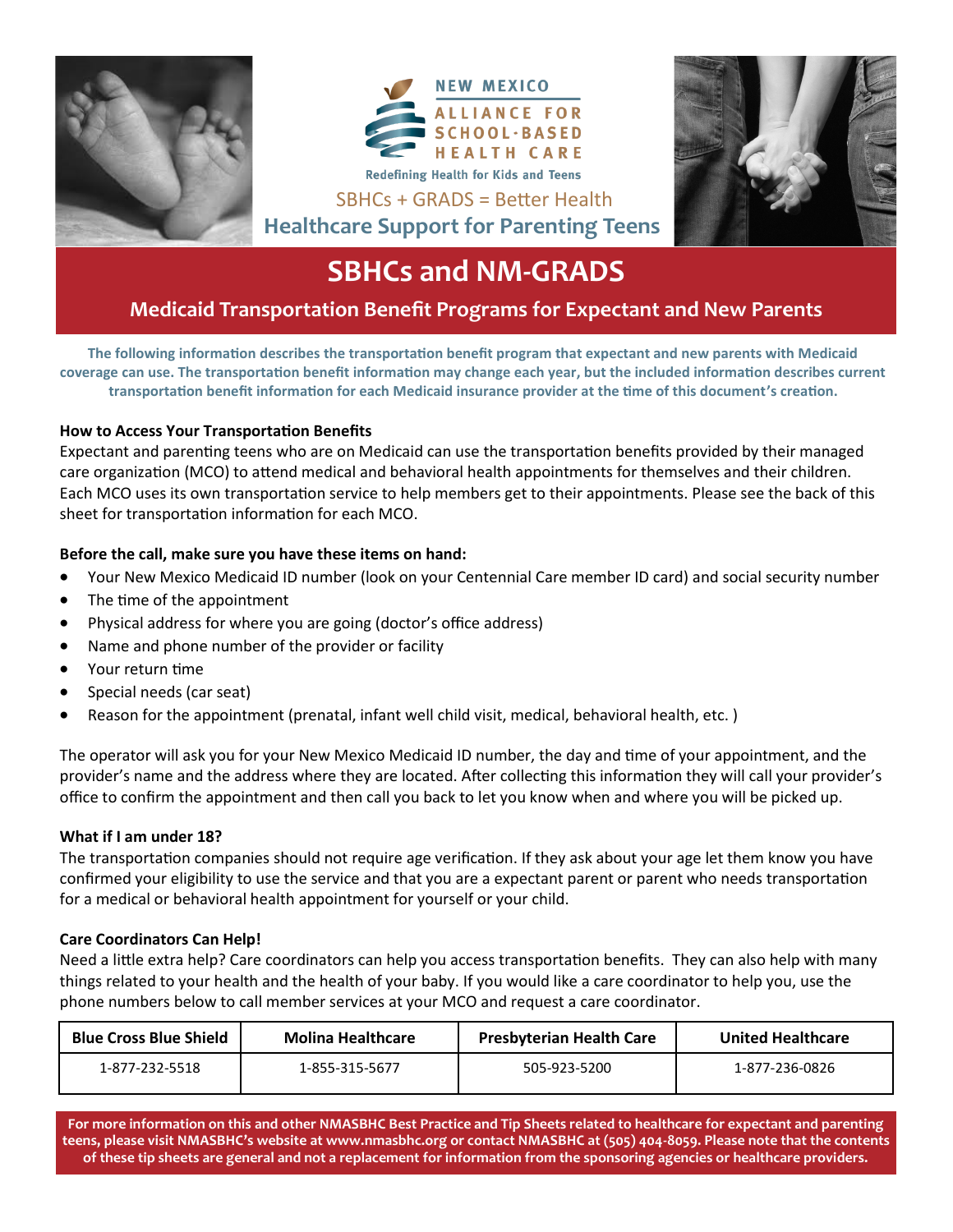





# **SBHCs and NM-GRADS**

SBHCs + GRADS = Better Health

## **Medicaid Transportation Benefit Programs for Expectant and New Parents**

**The following information describes the transportation benefit program that expectant and new parents with Medicaid coverage can use. The transportation benefit information may change each year, but the included information describes current transportation benefit information for each Medicaid insurance provider at the time of this document's creation.** 

### **How to Access Your Transportation Benefits**

Expectant and parenting teens who are on Medicaid can use the transportation benefits provided by their managed care organization (MCO) to attend medical and behavioral health appointments for themselves and their children. Each MCO uses its own transportation service to help members get to their appointments. Please see the back of this sheet for transportation information for each MCO.

### **Before the call, make sure you have these items on hand:**

- Your New Mexico Medicaid ID number (look on your Centennial Care member ID card) and social security number
- The time of the appointment
- Physical address for where you are going (doctor's office address)
- Name and phone number of the provider or facility
- Your return time
- Special needs (car seat)
- Reason for the appointment (prenatal, infant well child visit, medical, behavioral health, etc. )

The operator will ask you for your New Mexico Medicaid ID number, the day and time of your appointment, and the provider's name and the address where they are located. After collecting this information they will call your provider's office to confirm the appointment and then call you back to let you know when and where you will be picked up.

### **What if I am under 18?**

The transportation companies should not require age verification. If they ask about your age let them know you have confirmed your eligibility to use the service and that you are a expectant parent or parent who needs transportation for a medical or behavioral health appointment for yourself or your child.

### **Care Coordinators Can Help!**

Need a little extra help? Care coordinators can help you access transportation benefits. They can also help with many things related to your health and the health of your baby. If you would like a care coordinator to help you, use the phone numbers below to call member services at your MCO and request a care coordinator.

| <b>Blue Cross Blue Shield</b> | <b>Molina Healthcare</b> | <b>Presbyterian Health Care</b> | <b>United Healthcare</b> |
|-------------------------------|--------------------------|---------------------------------|--------------------------|
| 1-877-232-5518                | 1-855-315-5677           | 505-923-5200                    | 1-877-236-0826           |

**For more information on this and other NMASBHC Best Practice and Tip Sheets related to healthcare for expectant and parenting teens, please visit NMASBHC's website at www.nmasbhc.org or contact NMASBHC at (505) 404-8059. Please note that the contents of these tip sheets are general and not a replacement for information from the sponsoring agencies or healthcare providers.**